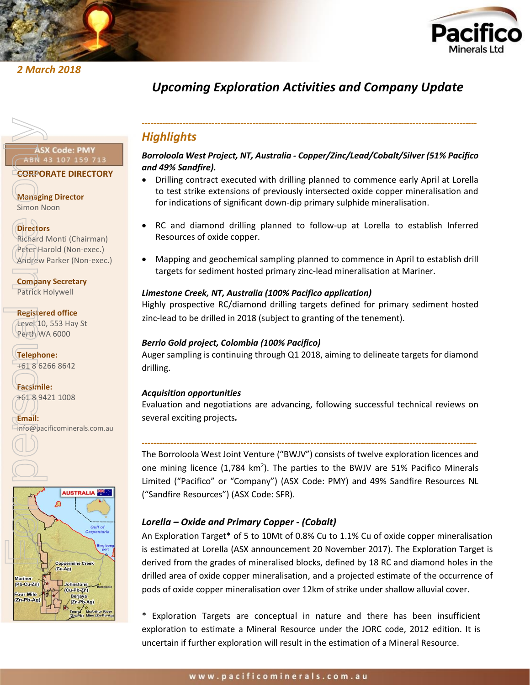



# *2 March 2018*

# *Upcoming Exploration Activities and Company Update*

# **CORPORATE DIRECTORY**

**Managing Director** Simon Noon

# **Directors**

Richard Monti (Chairman) Peter Harold (Non-exec.) Andrew Parker (Non-exec.)

**Company Secretary** Patrick Holywell

**Registered office** Level 10, 553 Hay St Perth WA 6000

**Telephone:** +61 8 6266 8642

**Facsimile:** +61 8 9421 1008

**Email:**

# ASX Code: PMY<br>
(ABN 43 107 159 713<br>
CORPORATE DIRECTORY<br>
Managing Director<br>
Richard Monti (Chairman)<br>
Peter Harold (Non-exec.)<br>
Andrew Parker (Non-exec.)<br>
Company Secretary<br>
Patrick Holywell<br>
Registered office<br>
(Level 10,



# *-------------------------------------------------------------------------------------------------------------------*

# *Highlights*

# *Borroloola West Project, NT, Australia - Copper/Zinc/Lead/Cobalt/Silver (51% Pacifico and 49% Sandfire).*

- Drilling contract executed with drilling planned to commence early April at Lorella to test strike extensions of previously intersected oxide copper mineralisation and for indications of significant down-dip primary sulphide mineralisation.
- RC and diamond drilling planned to follow-up at Lorella to establish Inferred Resources of oxide copper.
- Mapping and geochemical sampling planned to commence in April to establish drill targets for sediment hosted primary zinc-lead mineralisation at Mariner.

# *Limestone Creek, NT, Australia (100% Pacifico application)*

Highly prospective RC/diamond drilling targets defined for primary sediment hosted zinc-lead to be drilled in 2018 (subject to granting of the tenement).

# *Berrio Gold project, Colombia (100% Pacifico)*

Auger sampling is continuing through Q1 2018, aiming to delineate targets for diamond drilling.

# *Acquisition opportunities*

Evaluation and negotiations are advancing, following successful technical reviews on several exciting projects*.*

# *-------------------------------------------------------------------------------------------------------------------*

The Borroloola West Joint Venture ("BWJV") consists of twelve exploration licences and one mining licence  $(1,784 \text{ km}^2)$ . The parties to the BWJV are 51% Pacifico Minerals Limited ("Pacifico" or "Company") (ASX Code: PMY) and 49% Sandfire Resources NL ("Sandfire Resources") (ASX Code: SFR).

# *Lorella – Oxide and Primary Copper - (Cobalt)*

An Exploration Target\* of 5 to 10Mt of 0.8% Cu to 1.1% Cu of oxide copper mineralisation is estimated at Lorella (ASX announcement 20 November 2017). The Exploration Target is derived from the grades of mineralised blocks, defined by 18 RC and diamond holes in the drilled area of oxide copper mineralisation, and a projected estimate of the occurrence of pods of oxide copper mineralisation over 12km of strike under shallow alluvial cover.

\* Exploration Targets are conceptual in nature and there has been insufficient exploration to estimate a Mineral Resource under the JORC code, 2012 edition. It is uncertain if further exploration will result in the estimation of a Mineral Resource.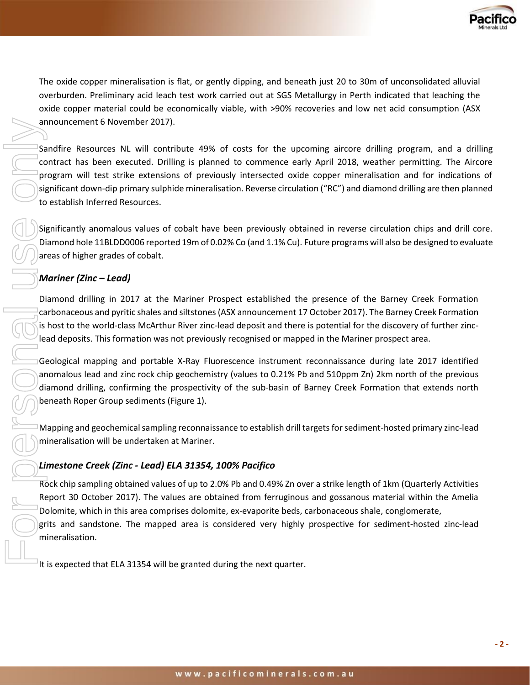

The oxide copper mineralisation is flat, or gently dipping, and beneath just 20 to 30m of unconsolidated alluvial overburden. Preliminary acid leach test work carried out at SGS Metallurgy in Perth indicated that leaching the oxide copper material could be economically viable, with >90% recoveries and low net acid consumption (ASX announcement 6 November 2017).

Sandfire Resources NL will contribute 49% of costs for the upcoming aircore drilling program, and a drilling contract has been executed. Drilling is planned to commence early April 2018, weather permitting. The Aircore program will test strike extensions of previously intersected oxide copper mineralisation and for indications of significant down-dip primary sulphide mineralisation. Reverse circulation ("RC") and diamond drilling are then planned to establish Inferred Resources.

Significantly anomalous values of cobalt have been previously obtained in reverse circulation chips and drill core. Diamond hole 11BLDD0006 reported 19m of 0.02% Co (and 1.1% Cu). Future programs will also be designed to evaluate areas of higher grades of cobalt.

# *Mariner (Zinc – Lead)*

Diamond drilling in 2017 at the Mariner Prospect established the presence of the Barney Creek Formation carbonaceous and pyritic shales and siltstones (ASX announcement 17 October 2017). The Barney Creek Formation is host to the world-class McArthur River zinc-lead deposit and there is potential for the discovery of further zinclead deposits. This formation was not previously recognised or mapped in the Mariner prospect area.

Geological mapping and portable X-Ray Fluorescence instrument reconnaissance during late 2017 identified anomalous lead and zinc rock chip geochemistry (values to 0.21% Pb and 510ppm Zn) 2km north of the previous diamond drilling, confirming the prospectivity of the sub-basin of Barney Creek Formation that extends north beneath Roper Group sediments (Figure 1).

Mapping and geochemical sampling reconnaissance to establish drill targets for sediment-hosted primary zinc-lead mineralisation will be undertaken at Mariner.

# *Limestone Creek (Zinc - Lead) ELA 31354, 100% Pacifico*

Rock chip sampling obtained values of up to 2.0% Pb and 0.49% Zn over a strike length of 1km (Quarterly Activities Report 30 October 2017). The values are obtained from ferruginous and gossanous material within the Amelia Dolomite, which in this area comprises dolomite, ex-evaporite beds, carbonaceous shale, conglomerate, grits and sandstone. The mapped area is considered very highly prospective for sediment-hosted zinc-lead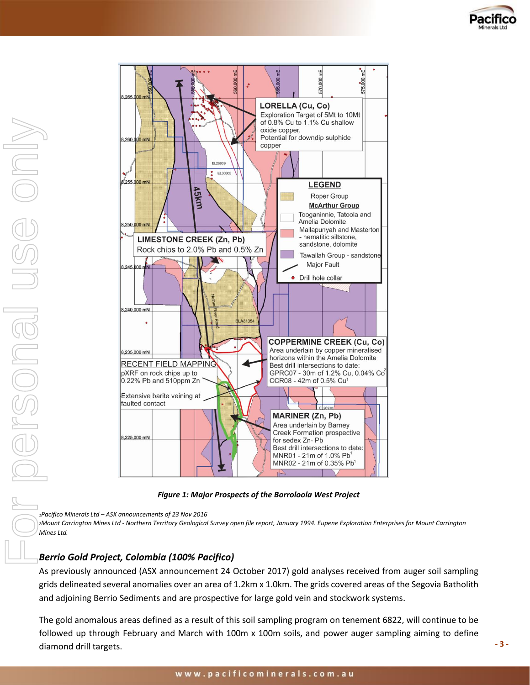



*Figure 1: Major Prospects of the Borroloola West Project*

*<sup>1</sup>Pacifico Minerals Ltd – ASX announcements of 23 Nov 2016* 

*<sup>2</sup>Mount Carrington Mines Ltd - Northern Territory Geological Survey open file report, January 1994. Eupene Exploration Enterprises for Mount Carrington Mines Ltd.*

# *Berrio Gold Project, Colombia (100% Pacifico)*

As previously announced (ASX announcement 24 October 2017) gold analyses received from auger soil sampling grids delineated several anomalies over an area of 1.2km x 1.0km. The grids covered areas of the Segovia Batholith and adjoining Berrio Sediments and are prospective for large gold vein and stockwork systems.

The gold anomalous areas defined as a result of this soil sampling program on tenement 6822, will continue to be followed up through February and March with 100m x 100m soils, and power auger sampling aiming to define